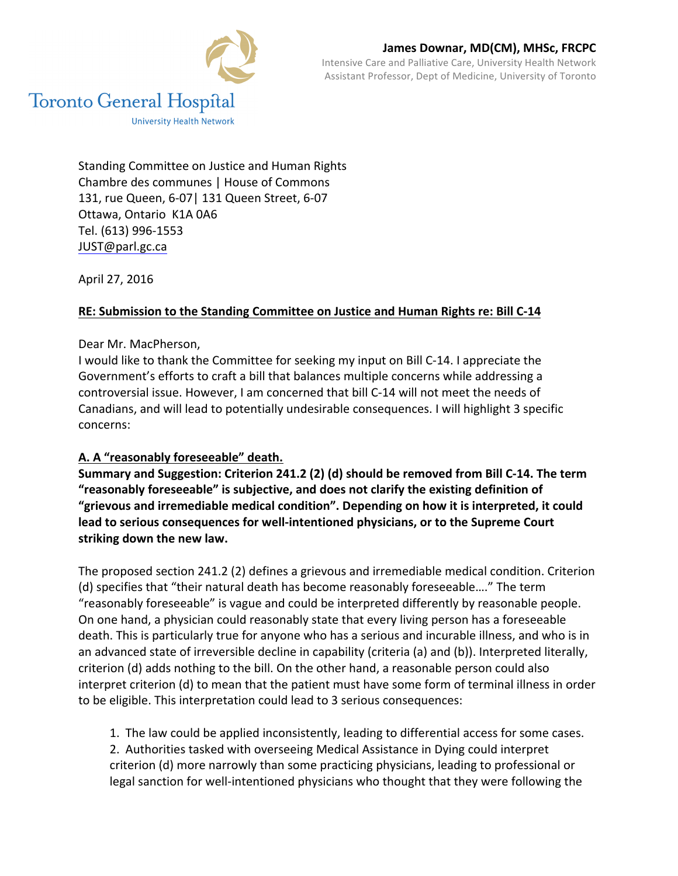

Intensive Care and Palliative Care, University Health Network Assistant Professor, Dept of Medicine, University of Toronto

Standing Committee on Justice and Human Rights Chambre des communes | House of Commons 131, rue Queen, 6-07 | 131 Queen Street, 6-07 Ottawa, Ontario K1A 0A6 Tel. (613) 996-1553 JUST@parl.gc.ca 

April 27, 2016

### **RE: Submission to the Standing Committee on Justice and Human Rights re: Bill C-14**

#### Dear Mr. MacPherson.

I would like to thank the Committee for seeking my input on Bill C-14. I appreciate the Government's efforts to craft a bill that balances multiple concerns while addressing a controversial issue. However, I am concerned that bill C-14 will not meet the needs of Canadians, and will lead to potentially undesirable consequences. I will highlight 3 specific concerns:

### A. A "reasonably foreseeable" death.

Summary and Suggestion: Criterion 241.2 (2) (d) should be removed from Bill C-14. The term "reasonably foreseeable" is subjective, and does not clarify the existing definition of "grievous and irremediable medical condition". Depending on how it is interpreted, it could lead to serious consequences for well-intentioned physicians, or to the Supreme Court striking down the new law.

The proposed section 241.2 (2) defines a grievous and irremediable medical condition. Criterion (d) specifies that "their natural death has become reasonably foreseeable...." The term "reasonably foreseeable" is vague and could be interpreted differently by reasonable people. On one hand, a physician could reasonably state that every living person has a foreseeable death. This is particularly true for anyone who has a serious and incurable illness, and who is in an advanced state of irreversible decline in capability (criteria (a) and (b)). Interpreted literally, criterion (d) adds nothing to the bill. On the other hand, a reasonable person could also interpret criterion (d) to mean that the patient must have some form of terminal illness in order to be eligible. This interpretation could lead to 3 serious consequences:

1. The law could be applied inconsistently, leading to differential access for some cases. 2. Authorities tasked with overseeing Medical Assistance in Dying could interpret criterion (d) more narrowly than some practicing physicians, leading to professional or legal sanction for well-intentioned physicians who thought that they were following the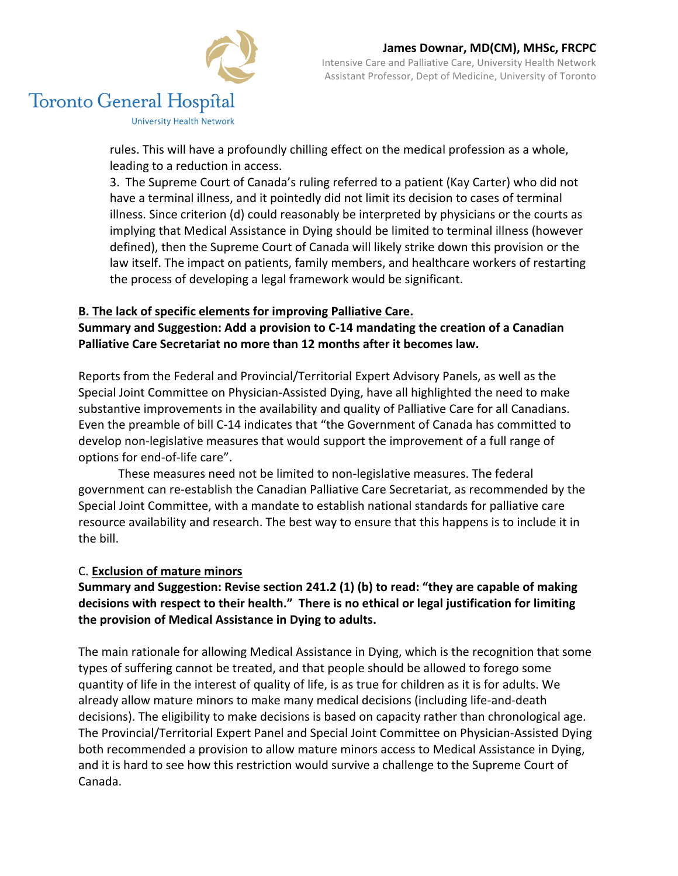

# **Toronto General Hospital**

**University Health Network** 

rules. This will have a profoundly chilling effect on the medical profession as a whole, leading to a reduction in access.

3. The Supreme Court of Canada's ruling referred to a patient (Kay Carter) who did not have a terminal illness, and it pointedly did not limit its decision to cases of terminal illness. Since criterion  $(d)$  could reasonably be interpreted by physicians or the courts as implying that Medical Assistance in Dying should be limited to terminal illness (however defined), then the Supreme Court of Canada will likely strike down this provision or the law itself. The impact on patients, family members, and healthcare workers of restarting the process of developing a legal framework would be significant.

## **B.** The lack of specific elements for improving Palliative Care.

Summary and Suggestion: Add a provision to C-14 mandating the creation of a Canadian **Palliative Care Secretariat no more than 12 months after it becomes law.** 

Reports from the Federal and Provincial/Territorial Expert Advisory Panels, as well as the Special Joint Committee on Physician-Assisted Dying, have all highlighted the need to make substantive improvements in the availability and quality of Palliative Care for all Canadians. Even the preamble of bill C-14 indicates that "the Government of Canada has committed to develop non-legislative measures that would support the improvement of a full range of options for end-of-life care".

These measures need not be limited to non-legislative measures. The federal government can re-establish the Canadian Palliative Care Secretariat, as recommended by the Special Joint Committee, with a mandate to establish national standards for palliative care resource availability and research. The best way to ensure that this happens is to include it in the bill.

### C. **Exclusion of mature minors**

## Summary and Suggestion: Revise section 241.2 (1) (b) to read: "they are capable of making decisions with respect to their health." There is no ethical or legal justification for limiting the provision of Medical Assistance in Dying to adults.

The main rationale for allowing Medical Assistance in Dying, which is the recognition that some types of suffering cannot be treated, and that people should be allowed to forego some quantity of life in the interest of quality of life, is as true for children as it is for adults. We already allow mature minors to make many medical decisions (including life-and-death decisions). The eligibility to make decisions is based on capacity rather than chronological age. The Provincial/Territorial Expert Panel and Special Joint Committee on Physician-Assisted Dying both recommended a provision to allow mature minors access to Medical Assistance in Dying, and it is hard to see how this restriction would survive a challenge to the Supreme Court of Canada.